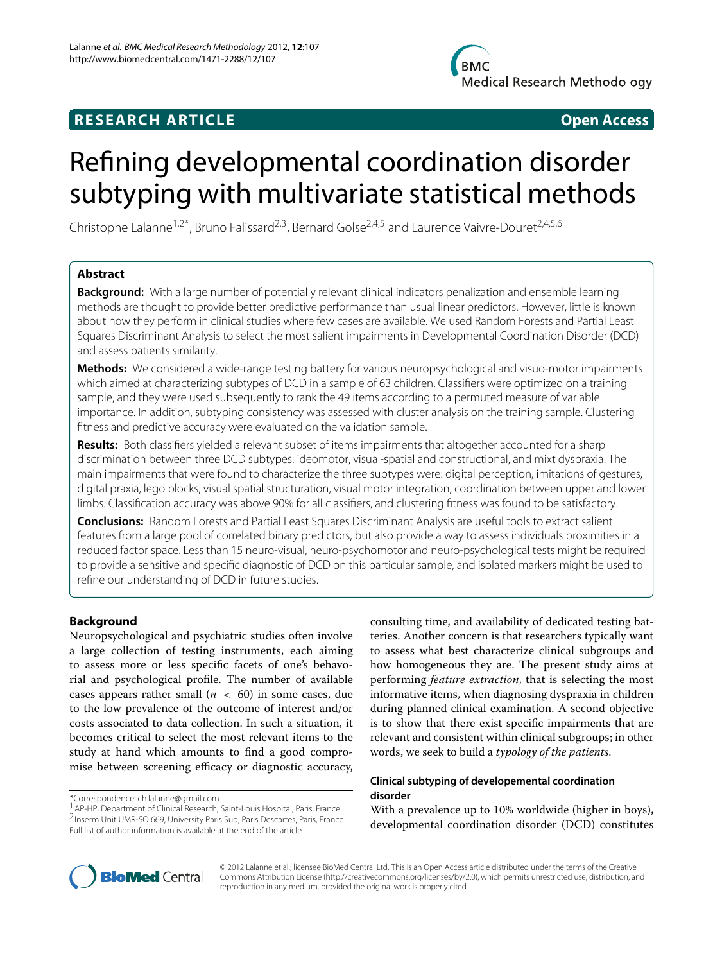## **RESEARCH ARTICLE Open Access**

# Refining developmental coordination disorder subtyping with multivariate statistical methods

Christophe Lalanne<sup>1,2\*</sup>, Bruno Falissard<sup>2,3</sup>, Bernard Golse<sup>2,4,5</sup> and Laurence Vaivre-Douret<sup>2,4,5,6</sup>

## **Abstract**

**Background:** With a large number of potentially relevant clinical indicators penalization and ensemble learning methods are thought to provide better predictive performance than usual linear predictors. However, little is known about how they perform in clinical studies where few cases are available. We used Random Forests and Partial Least Squares Discriminant Analysis to select the most salient impairments in Developmental Coordination Disorder (DCD) and assess patients similarity.

**Methods:** We considered a wide-range testing battery for various neuropsychological and visuo-motor impairments which aimed at characterizing subtypes of DCD in a sample of 63 children. Classifiers were optimized on a training sample, and they were used subsequently to rank the 49 items according to a permuted measure of variable importance. In addition, subtyping consistency was assessed with cluster analysis on the training sample. Clustering fitness and predictive accuracy were evaluated on the validation sample.

**Results:** Both classifiers yielded a relevant subset of items impairments that altogether accounted for a sharp discrimination between three DCD subtypes: ideomotor, visual-spatial and constructional, and mixt dyspraxia. The main impairments that were found to characterize the three subtypes were: digital perception, imitations of gestures, digital praxia, lego blocks, visual spatial structuration, visual motor integration, coordination between upper and lower limbs. Classification accuracy was above 90% for all classifiers, and clustering fitness was found to be satisfactory.

**Conclusions:** Random Forests and Partial Least Squares Discriminant Analysis are useful tools to extract salient features from a large pool of correlated binary predictors, but also provide a way to assess individuals proximities in a reduced factor space. Less than 15 neuro-visual, neuro-psychomotor and neuro-psychological tests might be required to provide a sensitive and specific diagnostic of DCD on this particular sample, and isolated markers might be used to refine our understanding of DCD in future studies.

## **Background**

Neuropsychological and psychiatric studies often involve a large collection of testing instruments, each aiming to assess more or less specific facets of one's behavorial and psychological profile. The number of available cases appears rather small  $(n < 60)$  in some cases, due to the low prevalence of the outcome of interest and/or costs associated to data collection. In such a situation, it becomes critical to select the most relevant items to the study at hand which amounts to find a good compromise between screening efficacy or diagnostic accuracy,

\*Correspondence: ch.lalanne@gmail.com

1AP-HP, Department of Clinical Research, Saint-Louis Hospital, Paris, France 2Inserm Unit UMR-SO 669, University Paris Sud, Paris Descartes, Paris, France Full list of author information is available at the end of the article

consulting time, and availability of dedicated testing batteries. Another concern is that researchers typically want to assess what best characterize clinical subgroups and how homogeneous they are. The present study aims at performing *feature extraction*, that is selecting the most informative items, when diagnosing dyspraxia in children during planned clinical examination. A second objective is to show that there exist specific impairments that are relevant and consistent within clinical subgroups; in other words, we seek to build a *typology of the patients*.

## **Clinical subtyping of developemental coordination disorder**

With a prevalence up to 10% worldwide (higher in boys), developmental coordination disorder (DCD) constitutes



© 2012 Lalanne et al.; licensee BioMed Central Ltd. This is an Open Access article distributed under the terms of the Creative Commons Attribution License (http://creativecommons.org/licenses/by/2.0), which permits unrestricted use, distribution, and reproduction in any medium, provided the original work is properly cited.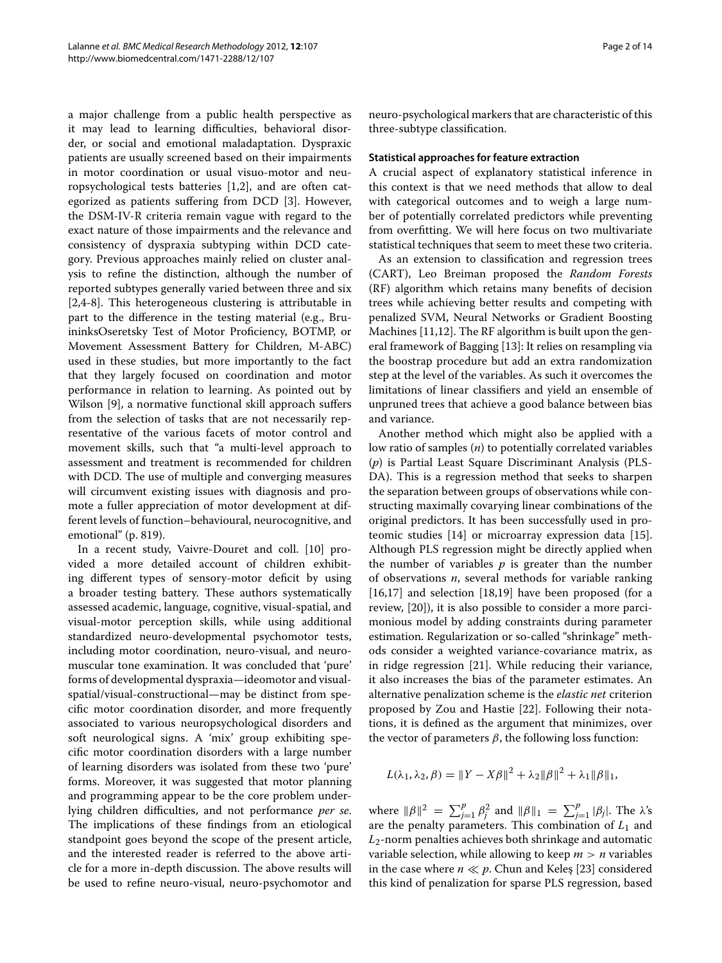a major challenge from a public health perspective as it may lead to learning difficulties, behavioral disorder, or social and emotional maladaptation. Dyspraxic patients are usually screened based on their impairments in motor coordination or usual visuo-motor and neuropsychological tests batteries [\[1,](#page-12-0)[2\]](#page-12-1), and are often categorized as patients suffering from DCD [\[3\]](#page-12-2). However, the DSM-IV-R criteria remain vague with regard to the exact nature of those impairments and the relevance and consistency of dyspraxia subtyping within DCD category. Previous approaches mainly relied on cluster analysis to refine the distinction, although the number of reported subtypes generally varied between three and six [\[2](#page-12-1)[,4](#page-12-3)[-8\]](#page-12-4). This heterogeneous clustering is attributable in part to the difference in the testing material (e.g., BruininksOseretsky Test of Motor Proficiency, BOTMP, or Movement Assessment Battery for Children, M-ABC) used in these studies, but more importantly to the fact that they largely focused on coordination and motor performance in relation to learning. As pointed out by Wilson [\[9\]](#page-12-5), a normative functional skill approach suffers from the selection of tasks that are not necessarily representative of the various facets of motor control and movement skills, such that "a multi-level approach to assessment and treatment is recommended for children with DCD. The use of multiple and converging measures will circumvent existing issues with diagnosis and promote a fuller appreciation of motor development at different levels of function–behavioural, neurocognitive, and emotional" (p. 819).

In a recent study, Vaivre-Douret and coll. [\[10\]](#page-12-6) provided a more detailed account of children exhibiting different types of sensory-motor deficit by using a broader testing battery. These authors systematically assessed academic, language, cognitive, visual-spatial, and visual-motor perception skills, while using additional standardized neuro-developmental psychomotor tests, including motor coordination, neuro-visual, and neuromuscular tone examination. It was concluded that 'pure' forms of developmental dyspraxia—ideomotor and visualspatial/visual-constructional—may be distinct from specific motor coordination disorder, and more frequently associated to various neuropsychological disorders and soft neurological signs. A 'mix' group exhibiting specific motor coordination disorders with a large number of learning disorders was isolated from these two 'pure' forms. Moreover, it was suggested that motor planning and programming appear to be the core problem underlying children difficulties, and not performance *per se*. The implications of these findings from an etiological standpoint goes beyond the scope of the present article, and the interested reader is referred to the above article for a more in-depth discussion. The above results will be used to refine neuro-visual, neuro-psychomotor and

neuro-psychological markers that are characteristic of this three-subtype classification.

## **Statistical approaches for feature extraction**

A crucial aspect of explanatory statistical inference in this context is that we need methods that allow to deal with categorical outcomes and to weigh a large number of potentially correlated predictors while preventing from overfitting. We will here focus on two multivariate statistical techniques that seem to meet these two criteria.

As an extension to classification and regression trees (CART), Leo Breiman proposed the *Random Forests* (RF) algorithm which retains many benefits of decision trees while achieving better results and competing with penalized SVM, Neural Networks or Gradient Boosting Machines [\[11,](#page-12-7)[12\]](#page-12-8). The RF algorithm is built upon the general framework of Bagging [\[13\]](#page-12-9): It relies on resampling via the boostrap procedure but add an extra randomization step at the level of the variables. As such it overcomes the limitations of linear classifiers and yield an ensemble of unpruned trees that achieve a good balance between bias and variance.

Another method which might also be applied with a low ratio of samples (*n*) to potentially correlated variables (*p*) is Partial Least Square Discriminant Analysis (PLS-DA). This is a regression method that seeks to sharpen the separation between groups of observations while constructing maximally covarying linear combinations of the original predictors. It has been successfully used in proteomic studies [\[14\]](#page-12-10) or microarray expression data [\[15\]](#page-12-11). Although PLS regression might be directly applied when the number of variables *p* is greater than the number of observations *n*, several methods for variable ranking  $[16,17]$  $[16,17]$  and selection  $[18,19]$  $[18,19]$  have been proposed (for a review, [\[20\]](#page-13-1)), it is also possible to consider a more parcimonious model by adding constraints during parameter estimation. Regularization or so-called "shrinkage" methods consider a weighted variance-covariance matrix, as in ridge regression [\[21\]](#page-13-2). While reducing their variance, it also increases the bias of the parameter estimates. An alternative penalization scheme is the *elastic net* criterion proposed by Zou and Hastie [\[22\]](#page-13-3). Following their notations, it is defined as the argument that minimizes, over the vector of parameters  $\beta$ , the following loss function:

$$
L(\lambda_1, \lambda_2, \beta) = ||Y - X\beta||^2 + \lambda_2 ||\beta||^2 + \lambda_1 ||\beta||_1,
$$

where  $\|\beta\|^2 = \sum_{j=1}^p \beta_j^2$  and  $\|\beta\|_1 = \sum_{j=1}^p |\beta_j|$ . The  $\lambda$ 's are the penalty parameters. This combination of *L*<sup>1</sup> and *L*2-norm penalties achieves both shrinkage and automatic variable selection, while allowing to keep  $m > n$  variables in the case where  $n \ll p$ . Chun and Keles [\[23\]](#page-13-4) considered this kind of penalization for sparse PLS regression, based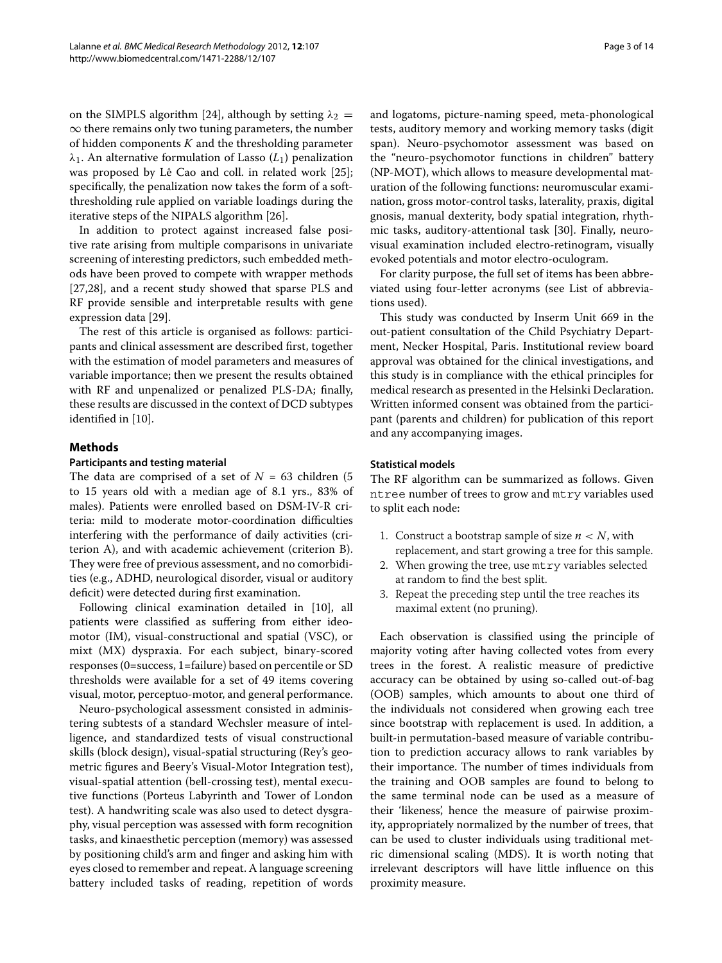on the SIMPLS algorithm [\[24\]](#page-13-5), although by setting  $\lambda_2$  = ∞ there remains only two tuning parameters, the number of hidden components *K* and the thresholding parameter *λ*1. An alternative formulation of Lasso (*L*1) penalization was proposed by Lê Cao and coll. in related work  $[25]$ ; specifically, the penalization now takes the form of a softthresholding rule applied on variable loadings during the iterative steps of the NIPALS algorithm [\[26\]](#page-13-7).

In addition to protect against increased false positive rate arising from multiple comparisons in univariate screening of interesting predictors, such embedded methods have been proved to compete with wrapper methods [\[27](#page-13-8)[,28\]](#page-13-9), and a recent study showed that sparse PLS and RF provide sensible and interpretable results with gene expression data [\[29\]](#page-13-10).

The rest of this article is organised as follows: participants and clinical assessment are described first, together with the estimation of model parameters and measures of variable importance; then we present the results obtained with RF and unpenalized or penalized PLS-DA; finally, these results are discussed in the context of DCD subtypes identified in [\[10\]](#page-12-6).

## **Methods**

## **Participants and testing material**

The data are comprised of a set of  $N = 63$  children (5) to 15 years old with a median age of 8.1 yrs., 83% of males). Patients were enrolled based on DSM-IV-R criteria: mild to moderate motor-coordination difficulties interfering with the performance of daily activities (criterion A), and with academic achievement (criterion B). They were free of previous assessment, and no comorbidities (e.g., ADHD, neurological disorder, visual or auditory deficit) were detected during first examination.

Following clinical examination detailed in [\[10\]](#page-12-6), all patients were classified as suffering from either ideomotor (IM), visual-constructional and spatial (VSC), or mixt (MX) dyspraxia. For each subject, binary-scored responses (0=success, 1=failure) based on percentile or SD thresholds were available for a set of 49 items covering visual, motor, perceptuo-motor, and general performance.

Neuro-psychological assessment consisted in administering subtests of a standard Wechsler measure of intelligence, and standardized tests of visual constructional skills (block design), visual-spatial structuring (Rey's geometric figures and Beery's Visual-Motor Integration test), visual-spatial attention (bell-crossing test), mental executive functions (Porteus Labyrinth and Tower of London test). A handwriting scale was also used to detect dysgraphy, visual perception was assessed with form recognition tasks, and kinaesthetic perception (memory) was assessed by positioning child's arm and finger and asking him with eyes closed to remember and repeat. A language screening battery included tasks of reading, repetition of words

and logatoms, picture-naming speed, meta-phonological tests, auditory memory and working memory tasks (digit span). Neuro-psychomotor assessment was based on the "neuro-psychomotor functions in children" battery (NP-MOT), which allows to measure developmental maturation of the following functions: neuromuscular examination, gross motor-control tasks, laterality, praxis, digital gnosis, manual dexterity, body spatial integration, rhythmic tasks, auditory-attentional task [\[30\]](#page-13-11). Finally, neurovisual examination included electro-retinogram, visually evoked potentials and motor electro-oculogram.

For clarity purpose, the full set of items has been abbreviated using four-letter acronyms (see List of abbreviations used).

This study was conducted by Inserm Unit 669 in the out-patient consultation of the Child Psychiatry Department, Necker Hospital, Paris. Institutional review board approval was obtained for the clinical investigations, and this study is in compliance with the ethical principles for medical research as presented in the Helsinki Declaration. Written informed consent was obtained from the participant (parents and children) for publication of this report and any accompanying images.

## **Statistical models**

The RF algorithm can be summarized as follows. Given ntree number of trees to grow and mtry variables used to split each node:

- 1. Construct a bootstrap sample of size  $n < N$ , with replacement, and start growing a tree for this sample.
- 2. When growing the tree, use mtry variables selected at random to find the best split.
- 3. Repeat the preceding step until the tree reaches its maximal extent (no pruning).

Each observation is classified using the principle of majority voting after having collected votes from every trees in the forest. A realistic measure of predictive accuracy can be obtained by using so-called out-of-bag (OOB) samples, which amounts to about one third of the individuals not considered when growing each tree since bootstrap with replacement is used. In addition, a built-in permutation-based measure of variable contribution to prediction accuracy allows to rank variables by their importance. The number of times individuals from the training and OOB samples are found to belong to the same terminal node can be used as a measure of their 'likeness', hence the measure of pairwise proximity, appropriately normalized by the number of trees, that can be used to cluster individuals using traditional metric dimensional scaling (MDS). It is worth noting that irrelevant descriptors will have little influence on this proximity measure.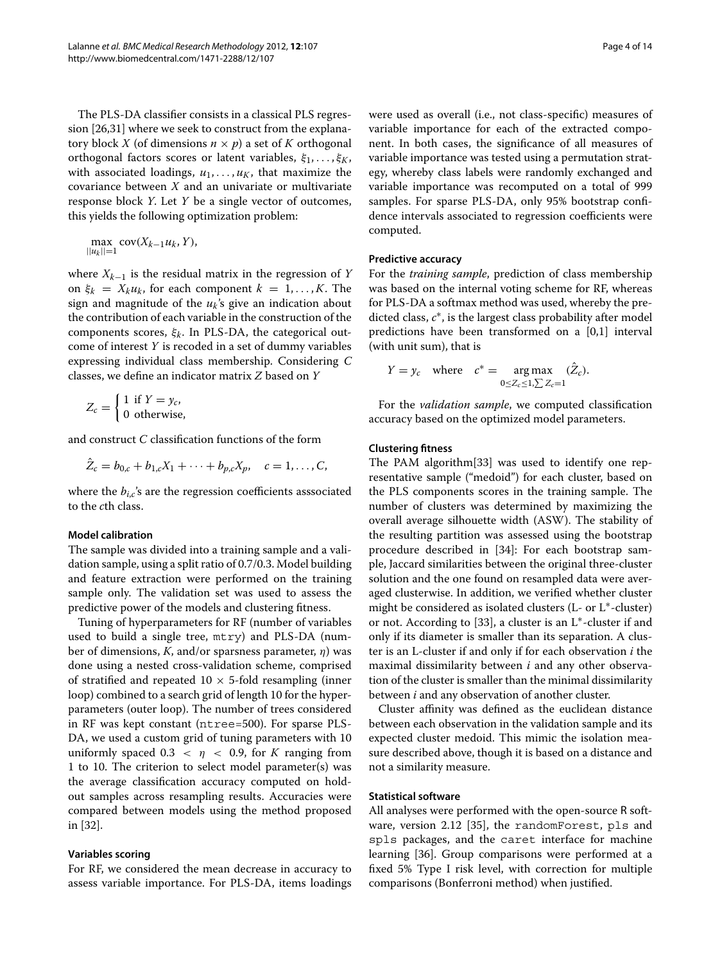The PLS-DA classifier consists in a classical PLS regression [\[26,](#page-13-7)[31\]](#page-13-12) where we seek to construct from the explanatory block *X* (of dimensions  $n \times p$ ) a set of *K* orthogonal orthogonal factors scores or latent variables, *ξ*1, *...* , *ξK*, with associated loadings,  $u_1, \ldots, u_K$ , that maximize the covariance between *X* and an univariate or multivariate response block *Y*. Let *Y* be a single vector of outcomes, this yields the following optimization problem:

$$
\max_{||u_k||=1} \operatorname{cov}(X_{k-1}u_k, Y),
$$

where  $X_{k-1}$  is the residual matrix in the regression of *Y* on  $\xi_k = X_k u_k$ , for each component  $k = 1, \ldots, K$ . The sign and magnitude of the  $u_k$ 's give an indication about the contribution of each variable in the construction of the components scores, *ξk*. In PLS-DA, the categorical outcome of interest *Y* is recoded in a set of dummy variables expressing individual class membership. Considering *C* classes, we define an indicator matrix *Z* based on *Y*

$$
Z_c = \begin{cases} 1 & \text{if } Y = y_c, \\ 0 & \text{otherwise,} \end{cases}
$$

and construct *C* classification functions of the form

$$
\hat{Z}_c = b_{0,c} + b_{1,c}X_1 + \cdots + b_{p,c}X_p, \quad c = 1, \ldots, C,
$$

where the  $b_{i,c}$ 's are the regression coefficients asssociated to the *c*th class.

#### **Model calibration**

The sample was divided into a training sample and a validation sample, using a split ratio of 0.7/0.3. Model building and feature extraction were performed on the training sample only. The validation set was used to assess the predictive power of the models and clustering fitness.

Tuning of hyperparameters for RF (number of variables used to build a single tree, mtry) and PLS-DA (number of dimensions, *K*, and/or sparsness parameter, *η*) was done using a nested cross-validation scheme, comprised of stratified and repeated  $10 \times 5$ -fold resampling (inner loop) combined to a search grid of length 10 for the hyperparameters (outer loop). The number of trees considered in RF was kept constant (ntree=500). For sparse PLS-DA, we used a custom grid of tuning parameters with 10 uniformly spaced  $0.3 < \eta < 0.9$ , for *K* ranging from 1 to 10. The criterion to select model parameter(s) was the average classification accuracy computed on holdout samples across resampling results. Accuracies were compared between models using the method proposed in [\[32\]](#page-13-13).

## **Variables scoring**

For RF, we considered the mean decrease in accuracy to assess variable importance. For PLS-DA, items loadings were used as overall (i.e., not class-specific) measures of variable importance for each of the extracted component. In both cases, the significance of all measures of variable importance was tested using a permutation strategy, whereby class labels were randomly exchanged and variable importance was recomputed on a total of 999 samples. For sparse PLS-DA, only 95% bootstrap confidence intervals associated to regression coefficients were computed.

### **Predictive accuracy**

For the *training sample*, prediction of class membership was based on the internal voting scheme for RF, whereas for PLS-DA a softmax method was used, whereby the predicted class, *c*∗, is the largest class probability after model predictions have been transformed on a [0,1] interval (with unit sum), that is

$$
Y = y_c \quad \text{where} \quad c^* = \underset{0 \le Z_c \le 1, \sum Z_c = 1}{\arg \max} (\hat{Z}_c).
$$

For the *validation sample*, we computed classification accuracy based on the optimized model parameters.

#### **Clustering fitness**

The PAM algorithm[\[33\]](#page-13-14) was used to identify one representative sample ("medoid") for each cluster, based on the PLS components scores in the training sample. The number of clusters was determined by maximizing the overall average silhouette width (ASW). The stability of the resulting partition was assessed using the bootstrap procedure described in [\[34\]](#page-13-15): For each bootstrap sample, Jaccard similarities between the original three-cluster solution and the one found on resampled data were averaged clusterwise. In addition, we verified whether cluster might be considered as isolated clusters (L- or L∗-cluster) or not. According to [\[33\]](#page-13-14), a cluster is an  $L^*$ -cluster if and only if its diameter is smaller than its separation. A cluster is an L-cluster if and only if for each observation *i* the maximal dissimilarity between *i* and any other observation of the cluster is smaller than the minimal dissimilarity between *i* and any observation of another cluster.

Cluster affinity was defined as the euclidean distance between each observation in the validation sample and its expected cluster medoid. This mimic the isolation measure described above, though it is based on a distance and not a similarity measure.

### **Statistical software**

All analyses were performed with the open-source R software, version 2.12 [\[35\]](#page-13-16), the randomForest, pls and spls packages, and the caret interface for machine learning [\[36\]](#page-13-17). Group comparisons were performed at a fixed 5% Type I risk level, with correction for multiple comparisons (Bonferroni method) when justified.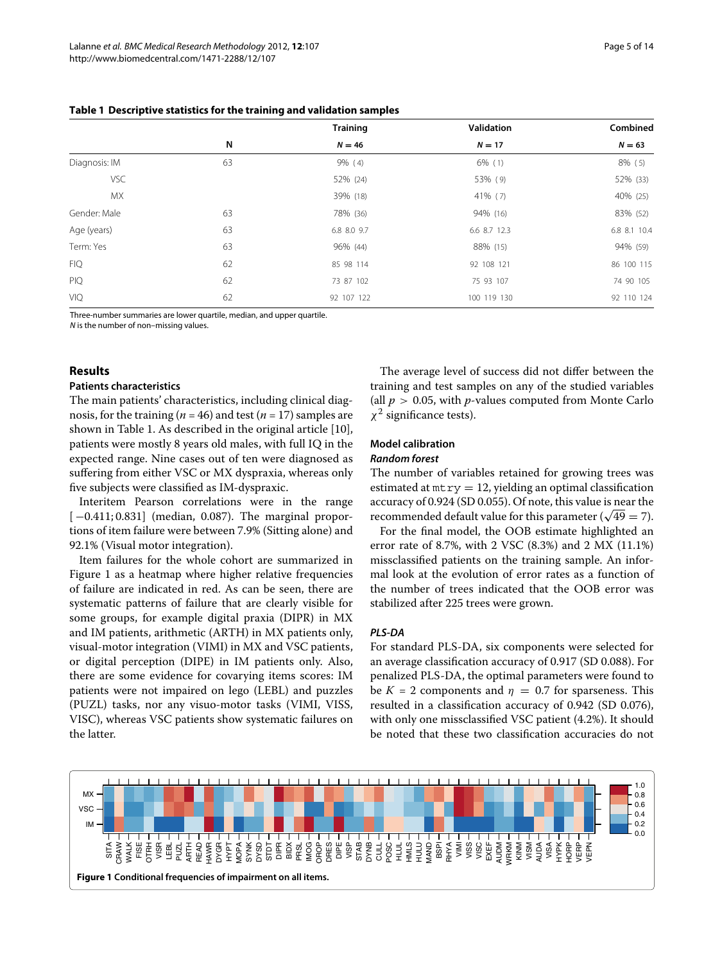#### <span id="page-4-0"></span>**Table 1 Descriptive statistics for the training and validation samples**

|               |    | <b>Training</b> | Validation   | Combined     |
|---------------|----|-----------------|--------------|--------------|
|               | N  | $N = 46$        | $N = 17$     | $N = 63$     |
| Diagnosis: IM | 63 | $9\%$ (4)       | 6% (1)       | 8% (5)       |
| VSC           |    | 52% (24)        | 53% (9)      | 52% (33)     |
| МX            |    | 39% (18)        | 41% (7)      | 40% (25)     |
| Gender: Male  | 63 | 78% (36)        | 94% (16)     | 83% (52)     |
| Age (years)   | 63 | 6.8 8.0 9.7     | 6.6 8.7 12.3 | 6.8 8.1 10.4 |
| Term: Yes     | 63 | 96% (44)        | 88% (15)     | 94% (59)     |
| <b>FIQ</b>    | 62 | 85 98 114       | 92 108 121   | 86 100 115   |
| PIQ           | 62 | 73 87 102       | 75 93 107    | 74 90 105    |
| VIQ           | 62 | 92 107 122      | 100 119 130  | 92 110 124   |

Three-number summaries are lower quartile, median, and upper quartile.

*N* is the number of non–missing values.

## **Results**

#### **Patients characteristics**

The main patients' characteristics, including clinical diagnosis, for the training ( $n = 46$ ) and test ( $n = 17$ ) samples are shown in Table [1.](#page-4-0) As described in the original article [\[10\]](#page-12-6), patients were mostly 8 years old males, with full IQ in the expected range. Nine cases out of ten were diagnosed as suffering from either VSC or MX dyspraxia, whereas only five subjects were classified as IM-dyspraxic.

Interitem Pearson correlations were in the range  $[-0.411; 0.831]$  (median, 0.087). The marginal proportions of item failure were between 7.9% (Sitting alone) and 92.1% (Visual motor integration).

Item failures for the whole cohort are summarized in Figure [1](#page-4-1) as a heatmap where higher relative frequencies of failure are indicated in red. As can be seen, there are systematic patterns of failure that are clearly visible for some groups, for example digital praxia (DIPR) in MX and IM patients, arithmetic (ARTH) in MX patients only, visual-motor integration (VIMI) in MX and VSC patients, or digital perception (DIPE) in IM patients only. Also, there are some evidence for covarying items scores: IM patients were not impaired on lego (LEBL) and puzzles (PUZL) tasks, nor any visuo-motor tasks (VIMI, VISS, VISC), whereas VSC patients show systematic failures on the latter.

The average level of success did not differ between the training and test samples on any of the studied variables (all  $p > 0.05$ , with *p*-values computed from Monte Carlo *χ*<sup>2</sup> significance tests).

## **Model calibration**

## *Random forest*

The number of variables retained for growing trees was estimated at  $mtry = 12$ , yielding an optimal classification accuracy of 0.924 (SD 0.055). Of note, this value is near the recommended default value for this parameter ( $\sqrt{49} = 7$ ).

For the final model, the OOB estimate highlighted an error rate of 8.7%, with 2 VSC (8.3%) and 2 MX (11.1%) missclassified patients on the training sample. An informal look at the evolution of error rates as a function of the number of trees indicated that the OOB error was stabilized after 225 trees were grown.

## *PLS-DA*

For standard PLS-DA, six components were selected for an average classification accuracy of 0.917 (SD 0.088). For penalized PLS-DA, the optimal parameters were found to be  $K = 2$  components and  $\eta = 0.7$  for sparseness. This resulted in a classification accuracy of 0.942 (SD 0.076), with only one missclassified VSC patient (4.2%). It should be noted that these two classification accuracies do not

<span id="page-4-1"></span>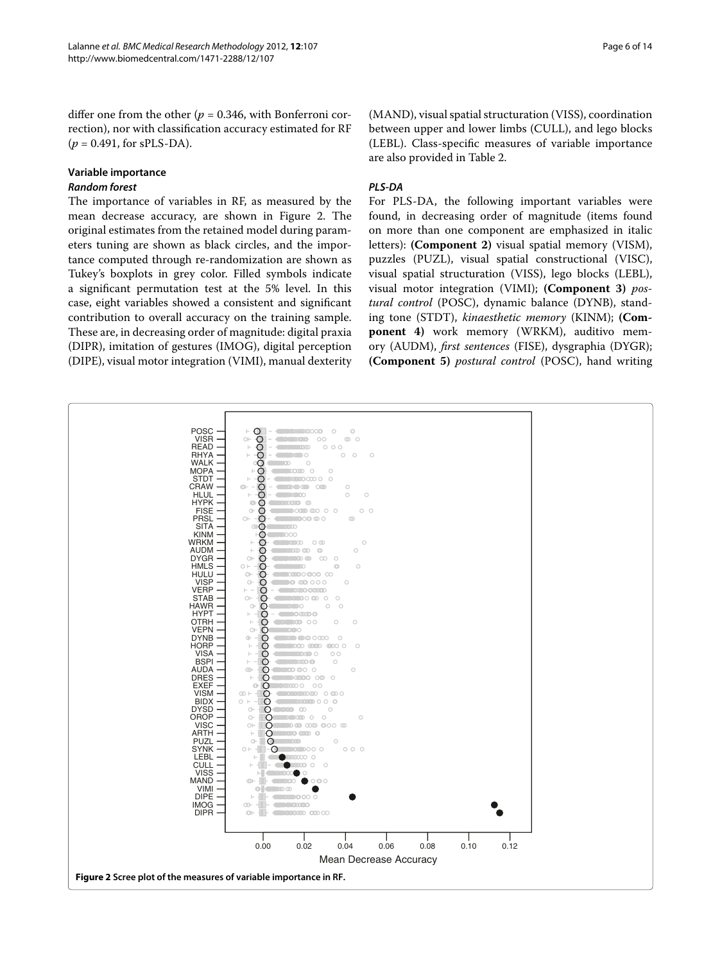differ one from the other ( $p = 0.346$ , with Bonferroni correction), nor with classification accuracy estimated for RF (*p* = 0.491, for sPLS-DA).

#### **Variable importance** *Random forest*

The importance of variables in RF, as measured by the mean decrease accuracy, are shown in Figure [2.](#page-5-0) The original estimates from the retained model during parameters tuning are shown as black circles, and the importance computed through re-randomization are shown as Tukey's boxplots in grey color. Filled symbols indicate a significant permutation test at the 5% level. In this case, eight variables showed a consistent and significant contribution to overall accuracy on the training sample. These are, in decreasing order of magnitude: digital praxia (DIPR), imitation of gestures (IMOG), digital perception (DIPE), visual motor integration (VIMI), manual dexterity

(MAND), visual spatial structuration (VISS), coordination between upper and lower limbs (CULL), and lego blocks (LEBL). Class-specific measures of variable importance are also provided in Table [2.](#page-6-0)

## *PLS-DA*

For PLS-DA, the following important variables were found, in decreasing order of magnitude (items found on more than one component are emphasized in italic letters): **(Component 2)** visual spatial memory (VISM), puzzles (PUZL), visual spatial constructional (VISC), visual spatial structuration (VISS), lego blocks (LEBL), visual motor integration (VIMI); **(Component 3)** *postural control* (POSC), dynamic balance (DYNB), standing tone (STDT), *kinaesthetic memory* (KINM); **(Component 4)** work memory (WRKM), auditivo memory (AUDM), *first sentences* (FISE), dysgraphia (DYGR); **(Component 5)** *postural control* (POSC), hand writing

<span id="page-5-0"></span>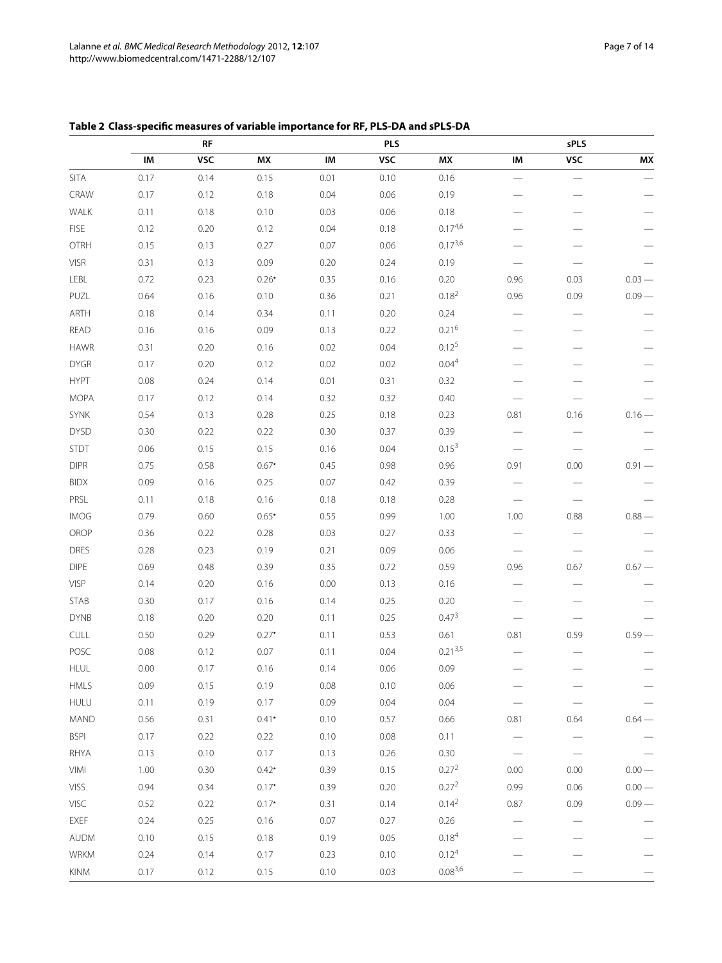<span id="page-6-0"></span>

| Table 2 Class-specific measures of variable importance for RF, PLS-DA and sPLS-DA |
|-----------------------------------------------------------------------------------|
|                                                                                   |

|             | <b>RF</b> |            |         |      | <b>PLS</b> |                   |                               | sPLS            |           |  |
|-------------|-----------|------------|---------|------|------------|-------------------|-------------------------------|-----------------|-----------|--|
|             | IM        | <b>VSC</b> | MX      | IM   | <b>VSC</b> | МX                | IM                            | <b>VSC</b>      | <b>MX</b> |  |
| SITA        | 0.17      | 0.14       | 0.15    | 0.01 | 0.10       | 0.16              |                               |                 |           |  |
| CRAW        | 0.17      | 0.12       | 0.18    | 0.04 | 0.06       | 0.19              | $\overline{\phantom{0}}$      |                 |           |  |
| WALK        | 0.11      | 0.18       | 0.10    | 0.03 | 0.06       | 0.18              |                               |                 |           |  |
| <b>FISE</b> | 0.12      | 0.20       | 0.12    | 0.04 | 0.18       | $0.17^{4,6}$      |                               |                 |           |  |
| OTRH        | 0.15      | 0.13       | 0.27    | 0.07 | 0.06       | $0.17^{3,6}$      |                               |                 |           |  |
| <b>VISR</b> | 0.31      | 0.13       | 0.09    | 0.20 | 0.24       | 0.19              |                               |                 |           |  |
| LEBL        | 0.72      | 0.23       | $0.26*$ | 0.35 | 0.16       | 0.20              | 0.96                          | 0.03            | $0.03 -$  |  |
| PUZL        | 0.64      | 0.16       | 0.10    | 0.36 | 0.21       | 0.18 <sup>2</sup> | 0.96                          | 0.09            | $0.09 -$  |  |
| ARTH        | 0.18      | 0.14       | 0.34    | 0.11 | 0.20       | 0.24              |                               |                 |           |  |
| <b>READ</b> | 0.16      | 0.16       | 0.09    | 0.13 | 0.22       | $0.21^{6}$        |                               |                 |           |  |
| <b>HAWR</b> | 0.31      | 0.20       | 0.16    | 0.02 | 0.04       | $0.12^{5}$        |                               |                 |           |  |
| <b>DYGR</b> | 0.17      | 0.20       | 0.12    | 0.02 | 0.02       | $0.04^{4}$        |                               |                 |           |  |
| <b>HYPT</b> | 0.08      | 0.24       | 0.14    | 0.01 | 0.31       | 0.32              |                               |                 |           |  |
| <b>MOPA</b> | 0.17      | 0.12       | 0.14    | 0.32 | 0.32       | 0.40              |                               |                 |           |  |
| <b>SYNK</b> | 0.54      | 0.13       | 0.28    | 0.25 | 0.18       | 0.23              | 0.81                          | 0.16            | $0.16 -$  |  |
| <b>DYSD</b> | 0.30      | 0.22       | 0.22    | 0.30 | 0.37       | 0.39              |                               |                 |           |  |
| <b>STDT</b> | 0.06      | 0.15       | 0.15    | 0.16 | 0.04       | 0.15 <sup>3</sup> |                               |                 |           |  |
| <b>DIPR</b> | 0.75      | 0.58       | $0.67*$ | 0.45 | 0.98       | 0.96              | 0.91                          | 0.00            | $0.91 -$  |  |
| <b>BIDX</b> | 0.09      | 0.16       | 0.25    | 0.07 | 0.42       | 0.39              |                               |                 |           |  |
| PRSL        | 0.11      | 0.18       | 0.16    | 0.18 | 0.18       | 0.28              | $\overline{\phantom{0}}$      |                 |           |  |
| <b>IMOG</b> | 0.79      | 0.60       | $0.65*$ | 0.55 | 0.99       | 1.00              | 1.00                          | 0.88            | $0.88 -$  |  |
| OROP        | 0.36      | 0.22       | 0.28    | 0.03 | 0.27       | 0.33              |                               |                 |           |  |
| <b>DRES</b> | 0.28      | 0.23       | 0.19    | 0.21 | 0.09       | 0.06              |                               |                 |           |  |
| <b>DIPE</b> | 0.69      | 0.48       | 0.39    | 0.35 | 0.72       | 0.59              | 0.96                          | 0.67            | $0.67 -$  |  |
| <b>VISP</b> | 0.14      | 0.20       | 0.16    | 0.00 | 0.13       | 0.16              |                               |                 |           |  |
| <b>STAB</b> | 0.30      | 0.17       | 0.16    | 0.14 | 0.25       | 0.20              |                               |                 |           |  |
| <b>DYNB</b> | 0.18      | 0.20       | 0.20    | 0.11 | 0.25       | 0.47 <sup>3</sup> |                               |                 |           |  |
| CULL        | 0.50      | 0.29       | $0.27*$ | 0.11 | 0.53       | 0.61              | 0.81                          | 0.59            | $0.59 -$  |  |
| POSC        | 0.08      | 0.12       | 0.07    | 0.11 | 0.04       | $0.21^{3,5}$      |                               |                 |           |  |
| <b>HLUL</b> | 0.00      | 0.17       | 0.16    | 0.14 | 0.06       | 0.09              |                               |                 |           |  |
| <b>HMLS</b> | 0.09      | 0.15       | 0.19    | 0.08 | 0.10       | 0.06              |                               |                 |           |  |
| HULU        | 0.11      | 0.19       | 0.17    | 0.09 | 0.04       | 0.04              |                               |                 |           |  |
| MAND        | 0.56      | 0.31       | $0.41*$ | 0.10 | 0.57       | 0.66              | 0.81                          | 0.64            | $0.64 -$  |  |
| <b>BSPI</b> | 0.17      | 0.22       | 0.22    | 0.10 | 0.08       | 0.11              |                               |                 |           |  |
| RHYA        | 0.13      | 0.10       | 0.17    | 0.13 | 0.26       | 0.30              | $\overbrace{\phantom{aaaaa}}$ | $\qquad \qquad$ |           |  |
| VIMI        | 1.00      | 0.30       | $0.42*$ | 0.39 | 0.15       | 0.27 <sup>2</sup> | 0.00                          | 0.00            | $0.00 -$  |  |
| <b>VISS</b> | 0.94      | 0.34       | $0.17*$ | 0.39 | 0.20       | 0.27 <sup>2</sup> | 0.99                          | 0.06            | $0.00 -$  |  |
| VISC        | 0.52      | 0.22       | $0.17*$ | 0.31 | 0.14       | $0.14^{2}$        | 0.87                          | 0.09            | $0.09 -$  |  |
| EXEF        | 0.24      | 0.25       | 0.16    | 0.07 | 0.27       | 0.26              |                               |                 |           |  |
| AUDM        | 0.10      | 0.15       | 0.18    | 0.19 | 0.05       | $0.18^{4}$        |                               |                 |           |  |
| WRKM        | 0.24      | 0.14       | 0.17    | 0.23 | 0.10       | $0.12^{4}$        |                               |                 |           |  |
| <b>KINM</b> | 0.17      | 0.12       | 0.15    | 0.10 | 0.03       | $0.08^{3,6}$      |                               |                 |           |  |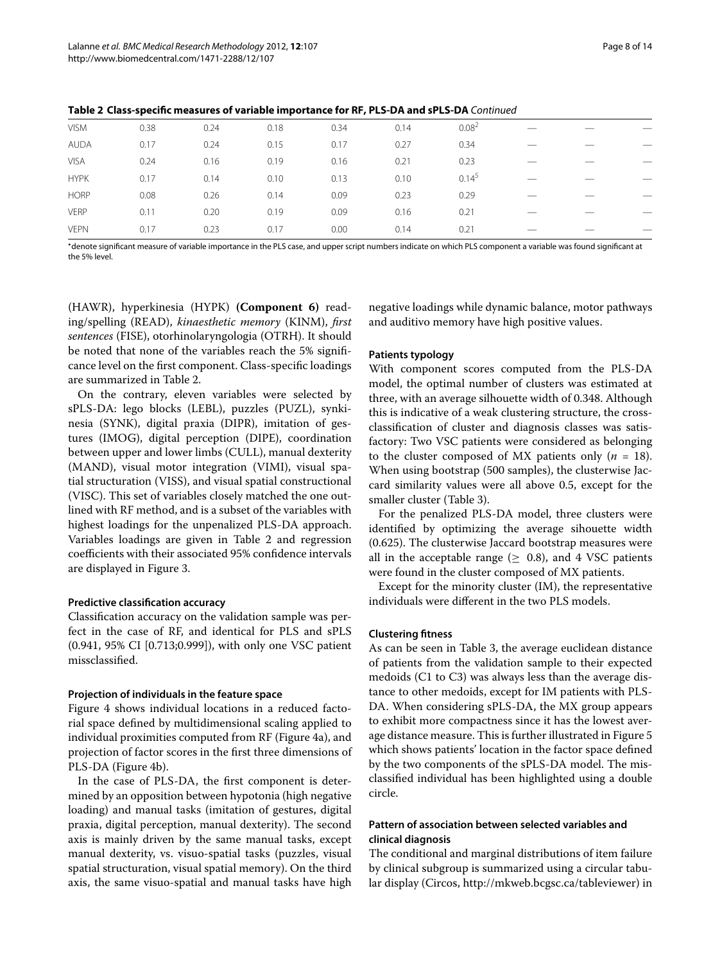**Table 2 Class-specific measures of variable importance for RF, PLS-DA and sPLS-DA** *Continued*

| <b>VISM</b> | 0.38 | 0.24 | 0.18 | 0.34 | 0.14 | 0.08 <sup>2</sup> |    |  |
|-------------|------|------|------|------|------|-------------------|----|--|
| <b>AUDA</b> | 0.17 | 0.24 | 0.15 | 0.17 | 0.27 | 0.34              |    |  |
| <b>VISA</b> | 0.24 | 0.16 | 0.19 | 0.16 | 0.21 | 0.23              |    |  |
| <b>HYPK</b> | 0.17 | 0.14 | 0.10 | 0.13 | 0.10 | $0.14^{5}$        | __ |  |
| <b>HORP</b> | 0.08 | 0.26 | 0.14 | 0.09 | 0.23 | 0.29              |    |  |
| <b>VERP</b> | 0.11 | 0.20 | 0.19 | 0.09 | 0.16 | 0.21              |    |  |
| <b>VEPN</b> | 0.17 | 0.23 | 0.17 | 0.00 | 0.14 | 0.21              |    |  |

<span id="page-7-0"></span>\*denote significant measure of variable importance in the PLS case, and upper script numbers indicate on which PLS component a variable was found significant at the 5% level.

(HAWR), hyperkinesia (HYPK) **(Component 6)** reading/spelling (READ), *kinaesthetic memory* (KINM), *first sentences* (FISE), otorhinolaryngologia (OTRH). It should be noted that none of the variables reach the 5% significance level on the first component. Class-specific loadings are summarized in Table [2.](#page-6-0)

On the contrary, eleven variables were selected by sPLS-DA: lego blocks (LEBL), puzzles (PUZL), synkinesia (SYNK), digital praxia (DIPR), imitation of gestures (IMOG), digital perception (DIPE), coordination between upper and lower limbs (CULL), manual dexterity (MAND), visual motor integration (VIMI), visual spatial structuration (VISS), and visual spatial constructional (VISC). This set of variables closely matched the one outlined with RF method, and is a subset of the variables with highest loadings for the unpenalized PLS-DA approach. Variables loadings are given in Table [2](#page-6-0) and regression coefficients with their associated 95% confidence intervals are displayed in Figure [3.](#page-8-0)

#### **Predictive classification accuracy**

Classification accuracy on the validation sample was perfect in the case of RF, and identical for PLS and sPLS (0.941, 95% CI [0.713;0.999]), with only one VSC patient missclassified.

#### **Projection of individuals in the feature space**

Figure [4](#page-8-1) shows individual locations in a reduced factorial space defined by multidimensional scaling applied to individual proximities computed from RF (Figure [4a](#page-8-1)), and projection of factor scores in the first three dimensions of PLS-DA (Figure [4b](#page-8-1)).

In the case of PLS-DA, the first component is determined by an opposition between hypotonia (high negative loading) and manual tasks (imitation of gestures, digital praxia, digital perception, manual dexterity). The second axis is mainly driven by the same manual tasks, except manual dexterity, vs. visuo-spatial tasks (puzzles, visual spatial structuration, visual spatial memory). On the third axis, the same visuo-spatial and manual tasks have high negative loadings while dynamic balance, motor pathways and auditivo memory have high positive values.

### **Patients typology**

With component scores computed from the PLS-DA model, the optimal number of clusters was estimated at three, with an average silhouette width of 0.348. Although this is indicative of a weak clustering structure, the crossclassification of cluster and diagnosis classes was satisfactory: Two VSC patients were considered as belonging to the cluster composed of MX patients only  $(n = 18)$ . When using bootstrap (500 samples), the clusterwise Jaccard similarity values were all above 0.5, except for the smaller cluster (Table [3\)](#page-9-0).

For the penalized PLS-DA model, three clusters were identified by optimizing the average sihouette width (0.625). The clusterwise Jaccard bootstrap measures were all in the acceptable range  $(> 0.8)$ , and 4 VSC patients were found in the cluster composed of MX patients.

Except for the minority cluster (IM), the representative individuals were different in the two PLS models.

### **Clustering fitness**

As can be seen in Table [3,](#page-9-0) the average euclidean distance of patients from the validation sample to their expected medoids (C1 to C3) was always less than the average distance to other medoids, except for IM patients with PLS-DA. When considering sPLS-DA, the MX group appears to exhibit more compactness since it has the lowest average distance measure. This is further illustrated in Figure [5](#page-9-1) which shows patients' location in the factor space defined by the two components of the sPLS-DA model. The misclassified individual has been highlighted using a double circle.

## **Pattern of association between selected variables and clinical diagnosis**

The conditional and marginal distributions of item failure by clinical subgroup is summarized using a circular tabular display (Circos, [http://mkweb.bcgsc.ca/tableviewer\)](http://mkweb.bcgsc.ca/tableviewer) in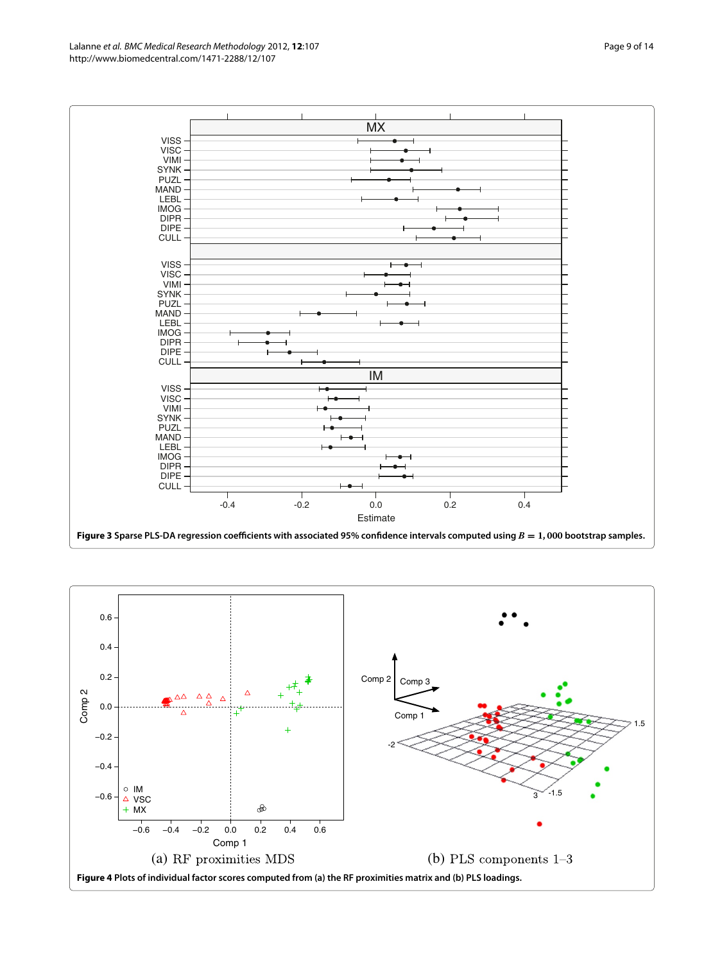



<span id="page-8-1"></span><span id="page-8-0"></span>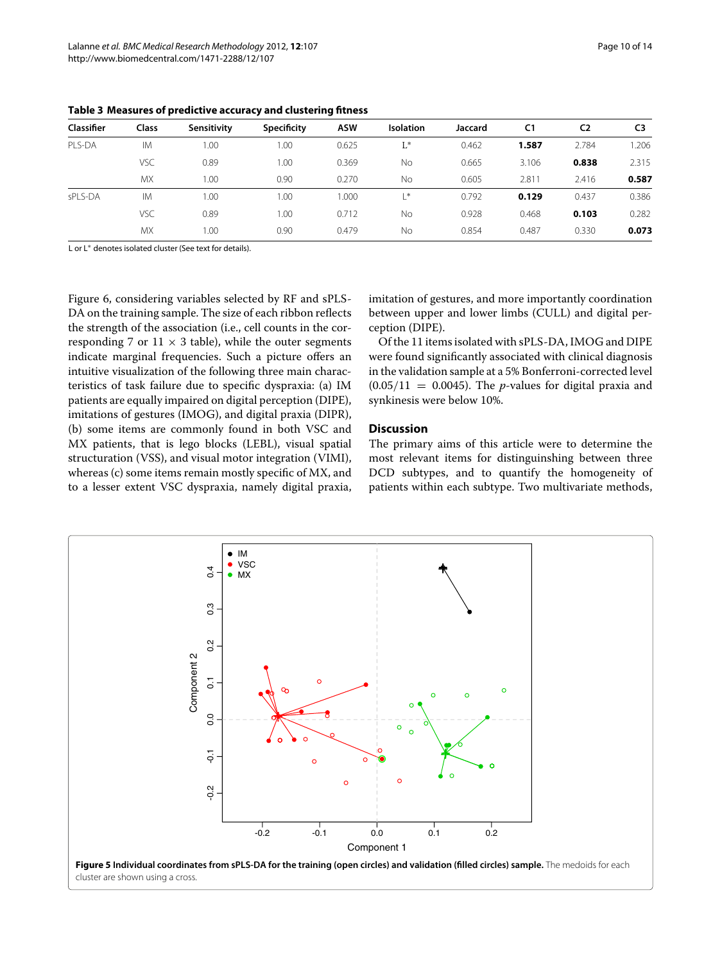| Classifier | Class     | Sensitivity | Specificity | <b>ASW</b> | <b>Isolation</b> | Jaccard | C1    | C <sub>2</sub> | C <sub>3</sub> |
|------------|-----------|-------------|-------------|------------|------------------|---------|-------|----------------|----------------|
| PLS-DA     | IM        | 0.00        | 00.1        | 0.625      | $L^*$            | 0.462   | 1.587 | 2.784          | 1.206          |
|            | VSC       | 0.89        | 00.1        | 0.369      | <b>No</b>        | 0.665   | 3.106 | 0.838          | 2.315          |
|            | <b>MX</b> | 1.00        | 0.90        | 0.270      | <b>No</b>        | 0.605   | 2.811 | 2.416          | 0.587          |
| sPLS-DA    | IM        | 1.00        | 1.00        | 1.000      | $  *$            | 0.792   | 0.129 | 0.437          | 0.386          |
|            | VSC       | 0.89        | 1.00        | 0.712      | <b>No</b>        | 0.928   | 0.468 | 0.103          | 0.282          |
|            | МX        | 0.00        | 0.90        | 0.479      | No               | 0.854   | 0.487 | 0.330          | 0.073          |

<span id="page-9-0"></span>**Table 3 Measures of predictive accuracy and clustering fitness**

L or L∗ denotes isolated cluster (See text for details).

Figure [6,](#page-10-0) considering variables selected by RF and sPLS-DA on the training sample. The size of each ribbon reflects the strength of the association (i.e., cell counts in the corresponding 7 or 11  $\times$  3 table), while the outer segments indicate marginal frequencies. Such a picture offers an intuitive visualization of the following three main characteristics of task failure due to specific dyspraxia: (a) IM patients are equally impaired on digital perception (DIPE), imitations of gestures (IMOG), and digital praxia (DIPR), (b) some items are commonly found in both VSC and MX patients, that is lego blocks (LEBL), visual spatial structuration (VSS), and visual motor integration (VIMI), whereas (c) some items remain mostly specific of MX, and to a lesser extent VSC dyspraxia, namely digital praxia, imitation of gestures, and more importantly coordination between upper and lower limbs (CULL) and digital perception (DIPE).

Of the 11 items isolated with sPLS-DA, IMOG and DIPE were found significantly associated with clinical diagnosis in the validation sample at a 5% Bonferroni-corrected level  $(0.05/11 = 0.0045)$ . The *p*-values for digital praxia and synkinesis were below 10%.

## **Discussion**

The primary aims of this article were to determine the most relevant items for distinguinshing between three DCD subtypes, and to quantify the homogeneity of patients within each subtype. Two multivariate methods,

<span id="page-9-1"></span>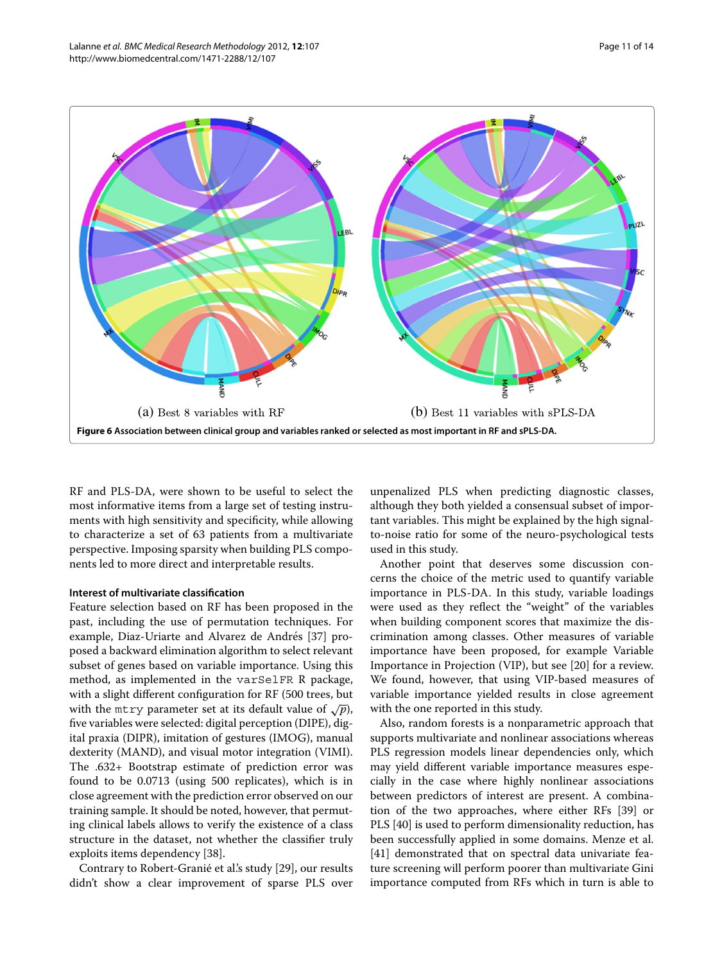

<span id="page-10-0"></span>RF and PLS-DA, were shown to be useful to select the most informative items from a large set of testing instruments with high sensitivity and specificity, while allowing to characterize a set of 63 patients from a multivariate perspective. Imposing sparsity when building PLS components led to more direct and interpretable results.

## **Interest of multivariate classification**

Feature selection based on RF has been proposed in the past, including the use of permutation techniques. For example, Diaz-Uriarte and Alvarez de Andrés [\[37\]](#page-13-18) proposed a backward elimination algorithm to select relevant subset of genes based on variable importance. Using this method, as implemented in the varSelFR R package, with a slight different configuration for RF (500 trees, but with the mtry parameter set at its default value of  $\sqrt{p}$ ), five variables were selected: digital perception (DIPE), digital praxia (DIPR), imitation of gestures (IMOG), manual dexterity (MAND), and visual motor integration (VIMI). The .632+ Bootstrap estimate of prediction error was found to be 0.0713 (using 500 replicates), which is in close agreement with the prediction error observed on our training sample. It should be noted, however, that permuting clinical labels allows to verify the existence of a class structure in the dataset, not whether the classifier truly exploits items dependency [\[38\]](#page-13-19).

Contrary to Robert-Granie et al.'s study [\[29\]](#page-13-10), our results ´ didn't show a clear improvement of sparse PLS over unpenalized PLS when predicting diagnostic classes, although they both yielded a consensual subset of important variables. This might be explained by the high signalto-noise ratio for some of the neuro-psychological tests used in this study.

Another point that deserves some discussion concerns the choice of the metric used to quantify variable importance in PLS-DA. In this study, variable loadings were used as they reflect the "weight" of the variables when building component scores that maximize the discrimination among classes. Other measures of variable importance have been proposed, for example Variable Importance in Projection (VIP), but see [\[20\]](#page-13-1) for a review. We found, however, that using VIP-based measures of variable importance yielded results in close agreement with the one reported in this study.

Also, random forests is a nonparametric approach that supports multivariate and nonlinear associations whereas PLS regression models linear dependencies only, which may yield different variable importance measures especially in the case where highly nonlinear associations between predictors of interest are present. A combination of the two approaches, where either RFs [\[39\]](#page-13-20) or PLS [\[40\]](#page-13-21) is used to perform dimensionality reduction, has been successfully applied in some domains. Menze et al. [\[41\]](#page-13-22) demonstrated that on spectral data univariate feature screening will perform poorer than multivariate Gini importance computed from RFs which in turn is able to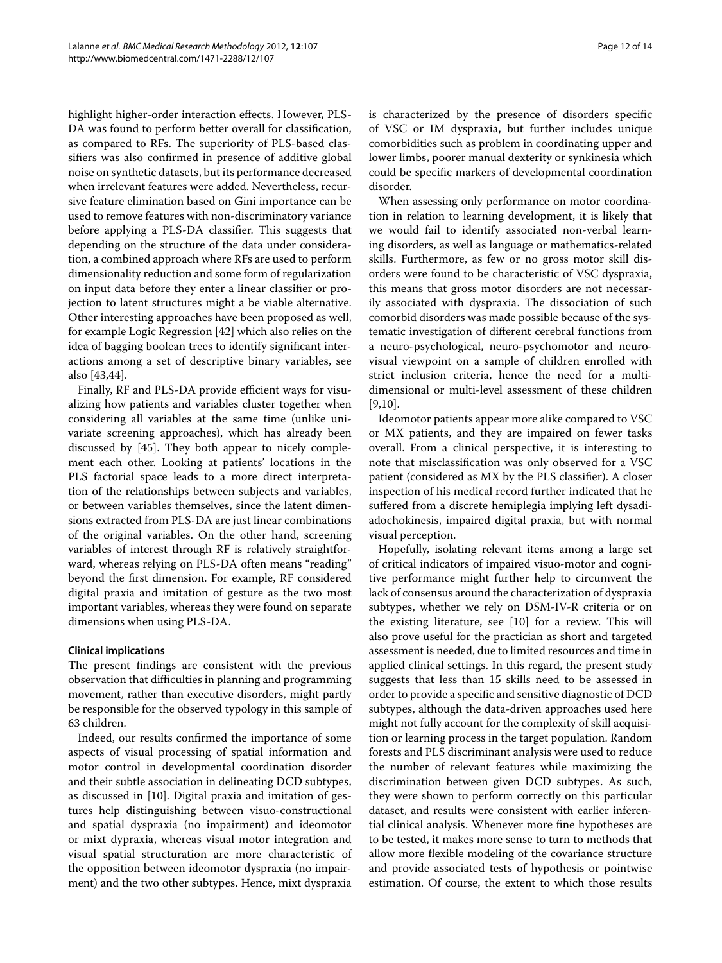highlight higher-order interaction effects. However, PLS-DA was found to perform better overall for classification, as compared to RFs. The superiority of PLS-based classifiers was also confirmed in presence of additive global noise on synthetic datasets, but its performance decreased when irrelevant features were added. Nevertheless, recursive feature elimination based on Gini importance can be used to remove features with non-discriminatory variance before applying a PLS-DA classifier. This suggests that depending on the structure of the data under consideration, a combined approach where RFs are used to perform dimensionality reduction and some form of regularization on input data before they enter a linear classifier or projection to latent structures might a be viable alternative. Other interesting approaches have been proposed as well, for example Logic Regression [\[42\]](#page-13-23) which also relies on the idea of bagging boolean trees to identify significant interactions among a set of descriptive binary variables, see also [\[43](#page-13-24)[,44\]](#page-13-25).

Finally, RF and PLS-DA provide efficient ways for visualizing how patients and variables cluster together when considering all variables at the same time (unlike univariate screening approaches), which has already been discussed by [\[45\]](#page-13-26). They both appear to nicely complement each other. Looking at patients' locations in the PLS factorial space leads to a more direct interpretation of the relationships between subjects and variables, or between variables themselves, since the latent dimensions extracted from PLS-DA are just linear combinations of the original variables. On the other hand, screening variables of interest through RF is relatively straightforward, whereas relying on PLS-DA often means "reading" beyond the first dimension. For example, RF considered digital praxia and imitation of gesture as the two most important variables, whereas they were found on separate dimensions when using PLS-DA.

## **Clinical implications**

The present findings are consistent with the previous observation that difficulties in planning and programming movement, rather than executive disorders, might partly be responsible for the observed typology in this sample of 63 children.

Indeed, our results confirmed the importance of some aspects of visual processing of spatial information and motor control in developmental coordination disorder and their subtle association in delineating DCD subtypes, as discussed in [\[10\]](#page-12-6). Digital praxia and imitation of gestures help distinguishing between visuo-constructional and spatial dyspraxia (no impairment) and ideomotor or mixt dypraxia, whereas visual motor integration and visual spatial structuration are more characteristic of the opposition between ideomotor dyspraxia (no impairment) and the two other subtypes. Hence, mixt dyspraxia

is characterized by the presence of disorders specific of VSC or IM dyspraxia, but further includes unique comorbidities such as problem in coordinating upper and lower limbs, poorer manual dexterity or synkinesia which could be specific markers of developmental coordination disorder.

When assessing only performance on motor coordination in relation to learning development, it is likely that we would fail to identify associated non-verbal learning disorders, as well as language or mathematics-related skills. Furthermore, as few or no gross motor skill disorders were found to be characteristic of VSC dyspraxia, this means that gross motor disorders are not necessarily associated with dyspraxia. The dissociation of such comorbid disorders was made possible because of the systematic investigation of different cerebral functions from a neuro-psychological, neuro-psychomotor and neurovisual viewpoint on a sample of children enrolled with strict inclusion criteria, hence the need for a multidimensional or multi-level assessment of these children [\[9](#page-12-5)[,10\]](#page-12-6).

Ideomotor patients appear more alike compared to VSC or MX patients, and they are impaired on fewer tasks overall. From a clinical perspective, it is interesting to note that misclassification was only observed for a VSC patient (considered as MX by the PLS classifier). A closer inspection of his medical record further indicated that he suffered from a discrete hemiplegia implying left dysadiadochokinesis, impaired digital praxia, but with normal visual perception.

Hopefully, isolating relevant items among a large set of critical indicators of impaired visuo-motor and cognitive performance might further help to circumvent the lack of consensus around the characterization of dyspraxia subtypes, whether we rely on DSM-IV-R criteria or on the existing literature, see [\[10\]](#page-12-6) for a review. This will also prove useful for the practician as short and targeted assessment is needed, due to limited resources and time in applied clinical settings. In this regard, the present study suggests that less than 15 skills need to be assessed in order to provide a specific and sensitive diagnostic of DCD subtypes, although the data-driven approaches used here might not fully account for the complexity of skill acquisition or learning process in the target population. Random forests and PLS discriminant analysis were used to reduce the number of relevant features while maximizing the discrimination between given DCD subtypes. As such, they were shown to perform correctly on this particular dataset, and results were consistent with earlier inferential clinical analysis. Whenever more fine hypotheses are to be tested, it makes more sense to turn to methods that allow more flexible modeling of the covariance structure and provide associated tests of hypothesis or pointwise estimation. Of course, the extent to which those results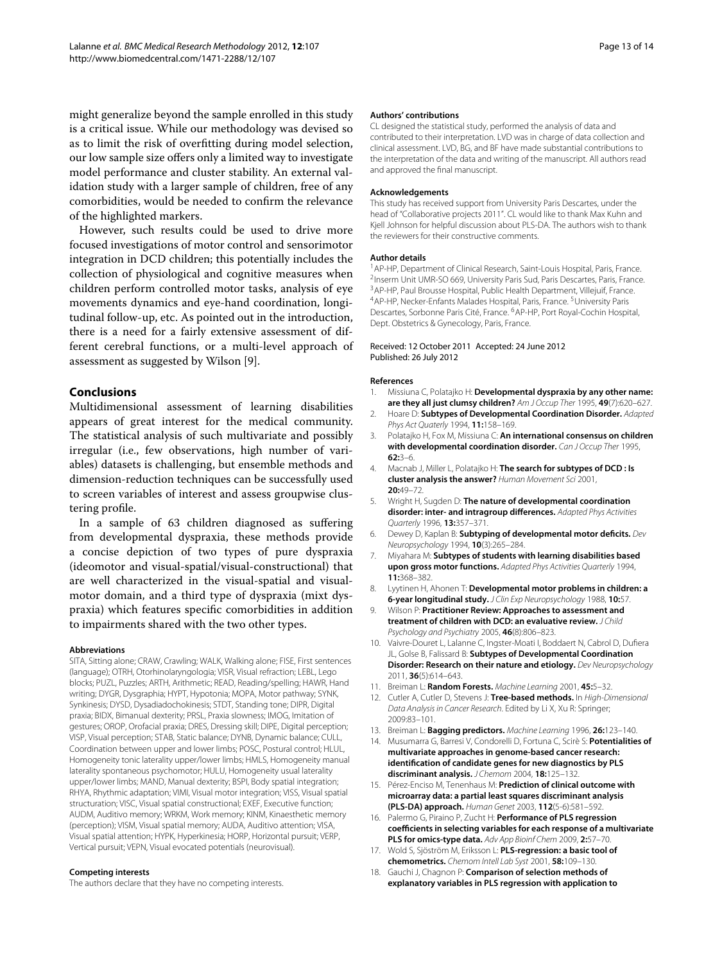might generalize beyond the sample enrolled in this study is a critical issue. While our methodology was devised so as to limit the risk of overfitting during model selection, our low sample size offers only a limited way to investigate model performance and cluster stability. An external validation study with a larger sample of children, free of any comorbidities, would be needed to confirm the relevance of the highlighted markers.

However, such results could be used to drive more focused investigations of motor control and sensorimotor integration in DCD children; this potentially includes the collection of physiological and cognitive measures when children perform controlled motor tasks, analysis of eye movements dynamics and eye-hand coordination, longitudinal follow-up, etc. As pointed out in the introduction, there is a need for a fairly extensive assessment of different cerebral functions, or a multi-level approach of assessment as suggested by Wilson [\[9\]](#page-12-5).

## **Conclusions**

Multidimensional assessment of learning disabilities appears of great interest for the medical community. The statistical analysis of such multivariate and possibly irregular (i.e., few observations, high number of variables) datasets is challenging, but ensemble methods and dimension-reduction techniques can be successfully used to screen variables of interest and assess groupwise clustering profile.

In a sample of 63 children diagnosed as suffering from developmental dyspraxia, these methods provide a concise depiction of two types of pure dyspraxia (ideomotor and visual-spatial/visual-constructional) that are well characterized in the visual-spatial and visualmotor domain, and a third type of dyspraxia (mixt dyspraxia) which features specific comorbidities in addition to impairments shared with the two other types.

#### **Abbreviations**

SITA, Sitting alone; CRAW, Crawling; WALK, Walking alone; FISE, First sentences (language); OTRH, Otorhinolaryngologia; VISR, Visual refraction; LEBL, Lego blocks; PUZL, Puzzles; ARTH, Arithmetic; READ, Reading/spelling; HAWR, Hand writing; DYGR, Dysgraphia; HYPT, Hypotonia; MOPA, Motor pathway; SYNK, Synkinesis; DYSD, Dysadiadochokinesis; STDT, Standing tone; DIPR, Digital praxia; BIDX, Bimanual dexterity; PRSL, Praxia slowness; IMOG, Imitation of gestures; OROP, Orofacial praxia; DRES, Dressing skill; DIPE, Digital perception; VISP, Visual perception; STAB, Static balance; DYNB, Dynamic balance; CULL, Coordination between upper and lower limbs; POSC, Postural control; HLUL, Homogeneity tonic laterality upper/lower limbs; HMLS, Homogeneity manual laterality spontaneous psychomotor; HULU, Homogeneity usual laterality upper/lower limbs; MAND, Manual dexterity; BSPI, Body spatial integration; RHYA, Rhythmic adaptation; VIMI, Visual motor integration; VISS, Visual spatial structuration; VISC, Visual spatial constructional; EXEF, Executive function; AUDM, Auditivo memory; WRKM, Work memory; KINM, Kinaesthetic memory (perception); VISM, Visual spatial memory; AUDA, Auditivo attention; VISA, Visual spatial attention; HYPK, Hyperkinesia; HORP, Horizontal pursuit; VERP, Vertical pursuit; VEPN, Visual evocated potentials (neurovisual).

#### **Competing interests**

The authors declare that they have no competing interests.

#### **Authors' contributions**

CL designed the statistical study, performed the analysis of data and contributed to their interpretation. LVD was in charge of data collection and clinical assessment. LVD, BG, and BF have made substantial contributions to the interpretation of the data and writing of the manuscript. All authors read and approved the final manuscript.

#### **Acknowledgements**

This study has received support from University Paris Descartes, under the head of "Collaborative projects 2011". CL would like to thank Max Kuhn and Kiell Johnson for helpful discussion about PLS-DA. The authors wish to thank the reviewers for their constructive comments.

#### **Author details**

<sup>1</sup> AP-HP, Department of Clinical Research, Saint-Louis Hospital, Paris, France. 2Inserm Unit UMR-SO 669, University Paris Sud, Paris Descartes, Paris, France. 3AP-HP, Paul Brousse Hospital, Public Health Department, Villejuif, France. 4AP-HP, Necker-Enfants Malades Hospital, Paris, France. 5University Paris Descartes, Sorbonne Paris Cité, France. <sup>6</sup>AP-HP, Port Royal-Cochin Hospital, Dept. Obstetrics & Gynecology, Paris, France.

#### Received: 12 October 2011 Accepted: 24 June 2012 Published: 26 July 2012

#### **References**

- <span id="page-12-0"></span>1. Missiuna C, Polatajko H: **Developmental dyspraxia by any other name: are they all just clumsy children?** Am J Occup Ther 1995, **49**(7):620–627.
- <span id="page-12-1"></span>2. Hoare D: **Subtypes of Developmental Coordination Disorder.** Adapted Phys Act Quaterly 1994, **11:**158–169.
- <span id="page-12-2"></span>3. Polatajko H, Fox M, Missiuna C: **An international consensus on children with developmental coordination disorder.** Can J Occup Ther 1995, **62:**3–6.
- <span id="page-12-3"></span>4. Macnab J, Miller L, Polatajko H: **The search for subtypes of DCD : Is cluster analysis the answer?** Human Movement Sci 2001, **20:**49–72.
- 5. Wright H, Sugden D: **The nature of developmental coordination disorder: inter- and intragroup differences.** Adapted Phys Activities Quarterly 1996, **13:**357–371.
- 6. Dewey D, Kaplan B: **Subtyping of developmental motor deficits.** Dev Neuropsychology 1994, **10**(3):265–284.
- 7. Miyahara M: **Subtypes of students with learning disabilities based upon gross motor functions.** Adapted Phys Activities Quarterly 1994, **11:**368–382.
- <span id="page-12-4"></span>8. Lyytinen H, Ahonen T: **Developmental motor problems in children: a 6-year longitudinal study.** J Clin Exp Neuropsychology 1988, **10:**57.
- <span id="page-12-5"></span>9. Wilson P: **Practitioner Review: Approaches to assessment and treatment of children with DCD: an evaluative review.** J Child Psychology and Psychiatry 2005, **46**(8):806–823.
- <span id="page-12-6"></span>10. Vaivre-Douret L, Lalanne C, Ingster-Moati I, Boddaert N, Cabrol D, Dufiera JL, Golse B, Falissard B: **Subtypes of Developmental Coordination Disorder: Research on their nature and etiology.** Dev Neuropsychology 2011, **36**(5):614–643.
- <span id="page-12-7"></span>11. Breiman L: **Random Forests.** Machine Learning 2001, **45:**5–32.
- <span id="page-12-8"></span>12. Cutler A, Cutler D, Stevens J: **Tree-based methods.** In High-Dimensional Data Analysis in Cancer Research. Edited by Li X, Xu R: Springer; 2009:83–101.
- <span id="page-12-9"></span>13. Breiman L: **Bagging predictors.** Machine Learning 1996, **26:**123–140.
- <span id="page-12-10"></span>14. Musumarra G, Barresi V, Condorelli D, Fortuna C, Scirè S: Potentialities of **multivariate approaches in genome-based cancer research: identification of candidate genes for new diagnostics by PLS discriminant analysis.** J Chemom 2004, **18:**125–132.
- <span id="page-12-11"></span>15. Pérez-Enciso M, Tenenhaus M: Prediction of clinical outcome with **microarray data: a partial least squares discriminant analysis (PLS-DA) approach.** Human Genet 2003, **112**(5-6):581–592.
- <span id="page-12-12"></span>16. Palermo G, Piraino P, Zucht H: **Performance of PLS regression coefficients in selecting variables for each response of a multivariate PLS for omics-type data.** Adv App Bioinf Chem 2009, **2:**57–70.
- <span id="page-12-13"></span>17. Wold S, Sjöström M, Eriksson L: PLS-regression: a basic tool of **chemometrics.** Chemom Intell Lab Syst 2001, **58:**109–130.
- <span id="page-12-14"></span>18. Gauchi J, Chagnon P: **Comparison of selection methods of explanatory variables in PLS regression with application to**